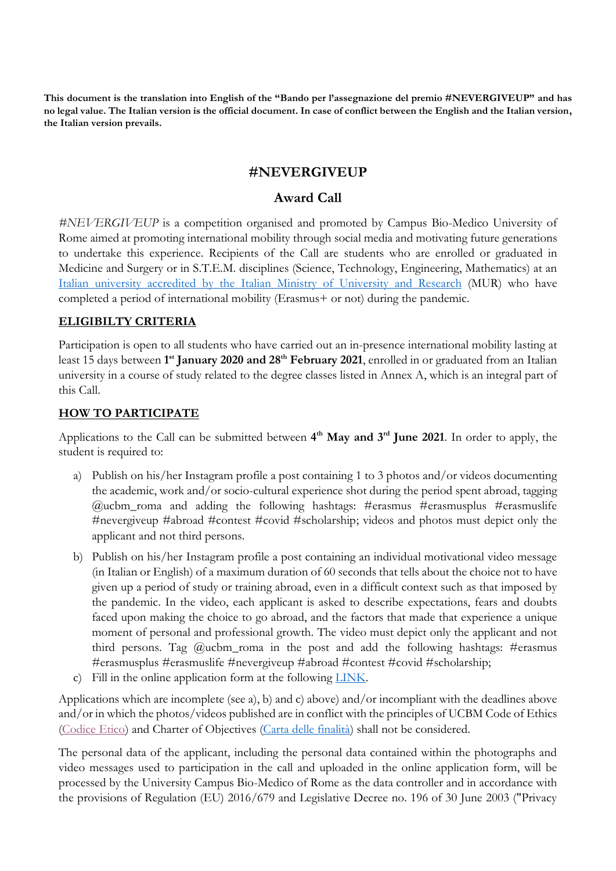**This document is the translation into English of the "Bando per l'assegnazione del premio #NEVERGIVEUP" and has no legal value. The Italian version is the official document. In case of conflict between the English and the Italian version, the Italian version prevails.**

# **#NEVERGIVEUP**

# **Award Call**

*#NEVERGIVEUP* is a competition organised and promoted by Campus Bio-Medico University of Rome aimed at promoting international mobility through social media and motivating future generations to undertake this experience. Recipients of the Call are students who are enrolled or graduated in Medicine and Surgery or in S.T.E.M. disciplines (Science, Technology, Engineering, Mathematics) at an [Italian university accredited by the Italian Ministry of University and Research](https://www.universitaly.it/index.php/university/universitaitalia) (MUR) who have completed a period of international mobility (Erasmus+ or not) during the pandemic.

#### **ELIGIBILTY CRITERIA**

Participation is open to all students who have carried out an in-presence international mobility lasting at least 15 days between **1 st January 2020 and 28th February 2021**, enrolled in or graduated from an Italian university in a course of study related to the degree classes listed in Annex A, which is an integral part of this Call.

#### **HOW TO PARTICIPATE**

Applications to the Call can be submitted between  $4<sup>th</sup>$  **May and 3<sup>rd</sup> June 2021**. In order to apply, the student is required to:

- a) Publish on his/her Instagram profile a post containing 1 to 3 photos and/or videos documenting the academic, work and/or socio-cultural experience shot during the period spent abroad, tagging @ucbm\_roma and adding the following hashtags: #erasmus #erasmusplus #erasmuslife #nevergiveup #abroad #contest #covid #scholarship; videos and photos must depict only the applicant and not third persons.
- b) Publish on his/her Instagram profile a post containing an individual motivational video message (in Italian or English) of a maximum duration of 60 seconds that tells about the choice not to have given up a period of study or training abroad, even in a difficult context such as that imposed by the pandemic. In the video, each applicant is asked to describe expectations, fears and doubts faced upon making the choice to go abroad, and the factors that made that experience a unique moment of personal and professional growth. The video must depict only the applicant and not third persons. Tag  $@$ ucbm\_roma in the post and add the following hashtags: #erasmus #erasmusplus #erasmuslife #nevergiveup #abroad #contest #covid #scholarship;
- c) Fill in the online application form at the following [LINK.](https://forms.office.com/Pages/ResponsePage.aspx?id=ZqQIYEaHV0213xQl2Mhc9VSoQFyFRmFPnbdSLrD46jhUN0UwTTJPTUhERFNQM0pJVTBMNTNYWEJSWi4u)

Applications which are incomplete (see a), b) and c) above) and/or incompliant with the deadlines above and/or in which the photos/videos published are in conflict with the principles of UCBM Code of Ethics [\(Codice Etico\)](https://www.unicampus.it/documents/UCBM_CodiceEtico.pdf) and Charter of Objectives [\(Carta delle finalità\)](https://www.unicampus.it/documents/UCBM_Carta_finalita_2020) shall not be considered.

The personal data of the applicant, including the personal data contained within the photographs and video messages used to participation in the call and uploaded in the online application form, will be processed by the University Campus Bio-Medico of Rome as the data controller and in accordance with the provisions of Regulation (EU) 2016/679 and Legislative Decree no. 196 of 30 June 2003 ("Privacy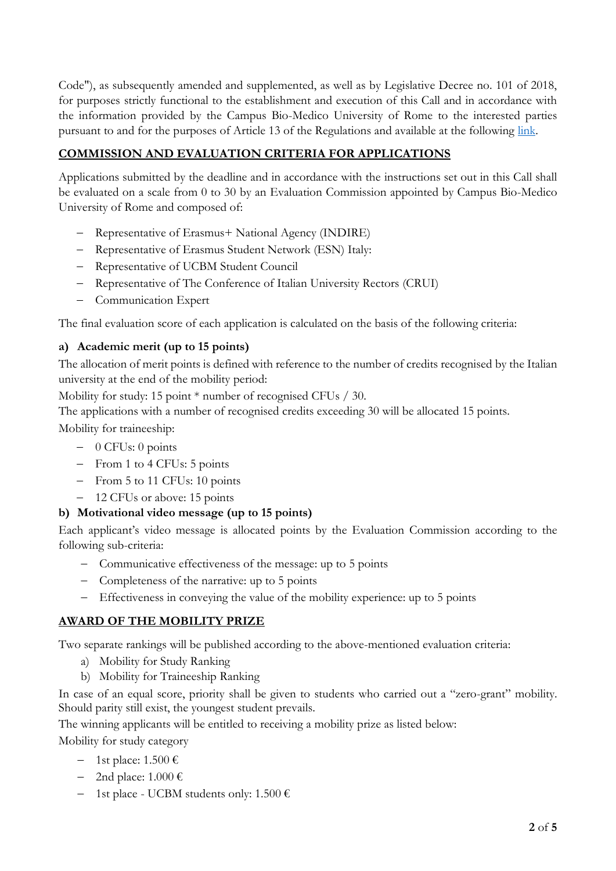Code"), as subsequently amended and supplemented, as well as by Legislative Decree no. 101 of 2018, for purposes strictly functional to the establishment and execution of this Call and in accordance with the information provided by the Campus Bio-Medico University of Rome to the interested parties pursuant to and for the purposes of Article 13 of the Regulations and available at the following [link.](http://www.unicampus.it/documents/Informativa_ex_art._13_GDPR_NEVER_GIVE_UP_EN)

# **COMMISSION AND EVALUATION CRITERIA FOR APPLICATIONS**

Applications submitted by the deadline and in accordance with the instructions set out in this Call shall be evaluated on a scale from 0 to 30 by an Evaluation Commission appointed by Campus Bio-Medico University of Rome and composed of:

- Representative of Erasmus+ National Agency (INDIRE)
- Representative of Erasmus Student Network (ESN) Italy:
- Representative of UCBM Student Council
- Representative of The Conference of Italian University Rectors (CRUI)
- Communication Expert

The final evaluation score of each application is calculated on the basis of the following criteria:

### **a) Academic merit (up to 15 points)**

The allocation of merit points is defined with reference to the number of credits recognised by the Italian university at the end of the mobility period:

Mobility for study: 15 point \* number of recognised CFUs / 30.

The applications with a number of recognised credits exceeding 30 will be allocated 15 points.

Mobility for traineeship:

- $-$  0 CFUs: 0 points
- From 1 to 4 CFUs: 5 points
- From 5 to 11 CFUs: 10 points
- 12 CFUs or above: 15 points

#### **b) Motivational video message (up to 15 points)**

Each applicant's video message is allocated points by the Evaluation Commission according to the following sub-criteria:

- Communicative effectiveness of the message: up to 5 points
- Completeness of the narrative: up to 5 points
- Effectiveness in conveying the value of the mobility experience: up to 5 points

#### **AWARD OF THE MOBILITY PRIZE**

Two separate rankings will be published according to the above-mentioned evaluation criteria:

- a) Mobility for Study Ranking
- b) Mobility for Traineeship Ranking

In case of an equal score, priority shall be given to students who carried out a "zero-grant" mobility. Should parity still exist, the youngest student prevails.

The winning applicants will be entitled to receiving a mobility prize as listed below:

Mobility for study category

- $-$  1st place: 1.500 €
- $-$  2nd place: 1.000 €
- 1st place UCBM students only:  $1.500 \in$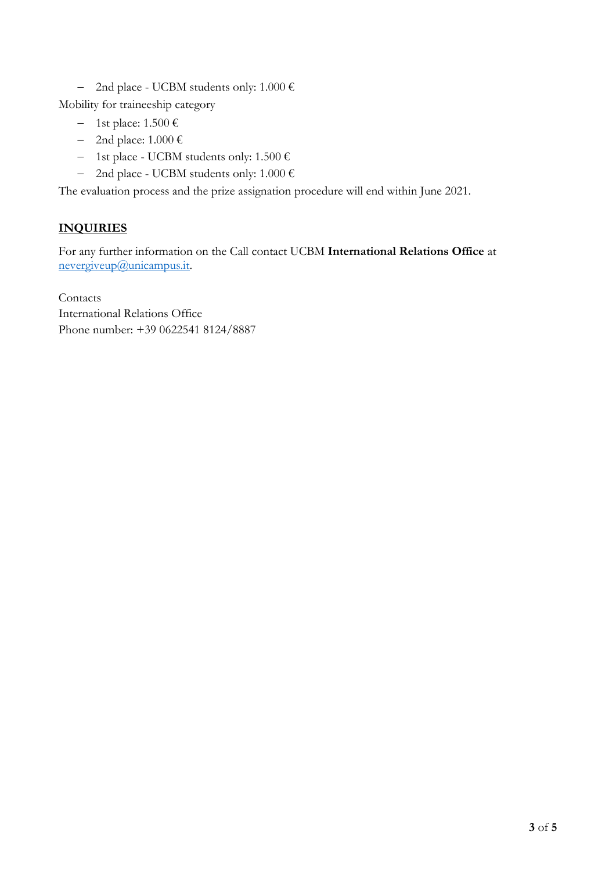- 2nd place - UCBM students only:  $1.000 \in$ 

Mobility for traineeship category

- $-$  1st place: 1.500 €
- $-$  2nd place: 1.000 €
- 1st place UCBM students only:  $1.500 \in$
- 2nd place UCBM students only:  $1.000 \in$

The evaluation process and the prize assignation procedure will end within June 2021.

# **INQUIRIES**

For any further information on the Call contact UCBM **International Relations Office** at [nevergiveup@unicampus.it.](mailto:nevergiveup@unicampus.it)

Contacts International Relations Office Phone number: +39 0622541 8124/8887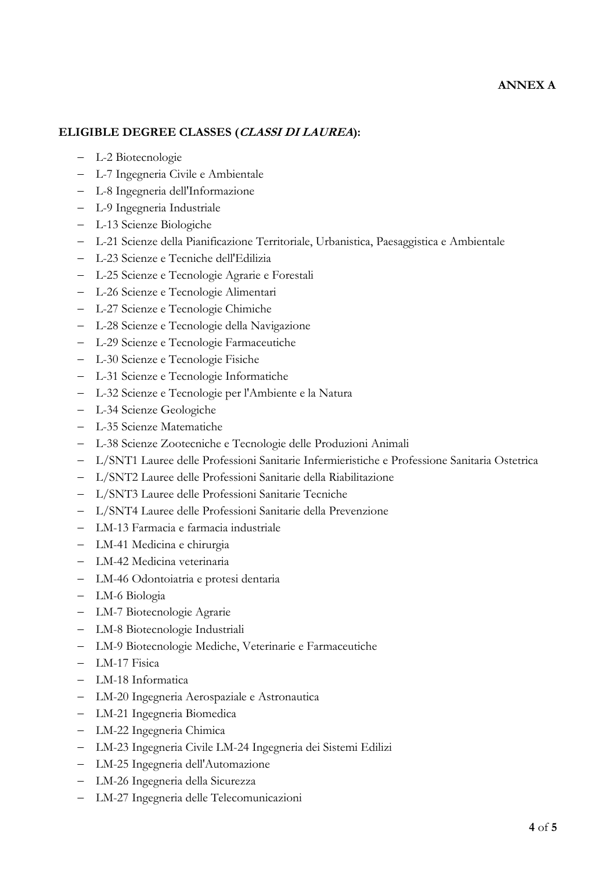#### **ANNEX A**

#### **ELIGIBLE DEGREE CLASSES (CLASSI DI LAUREA):**

- L-2 Biotecnologie
- L-7 Ingegneria Civile e Ambientale
- L-8 Ingegneria dell'Informazione
- L-9 Ingegneria Industriale
- L-13 Scienze Biologiche
- L-21 Scienze della Pianificazione Territoriale, Urbanistica, Paesaggistica e Ambientale
- L-23 Scienze e Tecniche dell'Edilizia
- L-25 Scienze e Tecnologie Agrarie e Forestali
- L-26 Scienze e Tecnologie Alimentari
- L-27 Scienze e Tecnologie Chimiche
- L-28 Scienze e Tecnologie della Navigazione
- L-29 Scienze e Tecnologie Farmaceutiche
- L-30 Scienze e Tecnologie Fisiche
- L-31 Scienze e Tecnologie Informatiche
- L-32 Scienze e Tecnologie per l'Ambiente e la Natura
- L-34 Scienze Geologiche
- L-35 Scienze Matematiche
- L-38 Scienze Zootecniche e Tecnologie delle Produzioni Animali
- L/SNT1 Lauree delle Professioni Sanitarie Infermieristiche e Professione Sanitaria Ostetrica
- L/SNT2 Lauree delle Professioni Sanitarie della Riabilitazione
- L/SNT3 Lauree delle Professioni Sanitarie Tecniche
- L/SNT4 Lauree delle Professioni Sanitarie della Prevenzione
- LM-13 Farmacia e farmacia industriale
- LM-41 Medicina e chirurgia
- LM-42 Medicina veterinaria
- LM-46 Odontoiatria e protesi dentaria
- LM-6 Biologia
- LM-7 Biotecnologie Agrarie
- LM-8 Biotecnologie Industriali
- LM-9 Biotecnologie Mediche, Veterinarie e Farmaceutiche
- LM-17 Fisica
- LM-18 Informatica
- LM-20 Ingegneria Aerospaziale e Astronautica
- LM-21 Ingegneria Biomedica
- LM-22 Ingegneria Chimica
- LM-23 Ingegneria Civile LM-24 Ingegneria dei Sistemi Edilizi
- LM-25 Ingegneria dell'Automazione
- LM-26 Ingegneria della Sicurezza
- LM-27 Ingegneria delle Telecomunicazioni